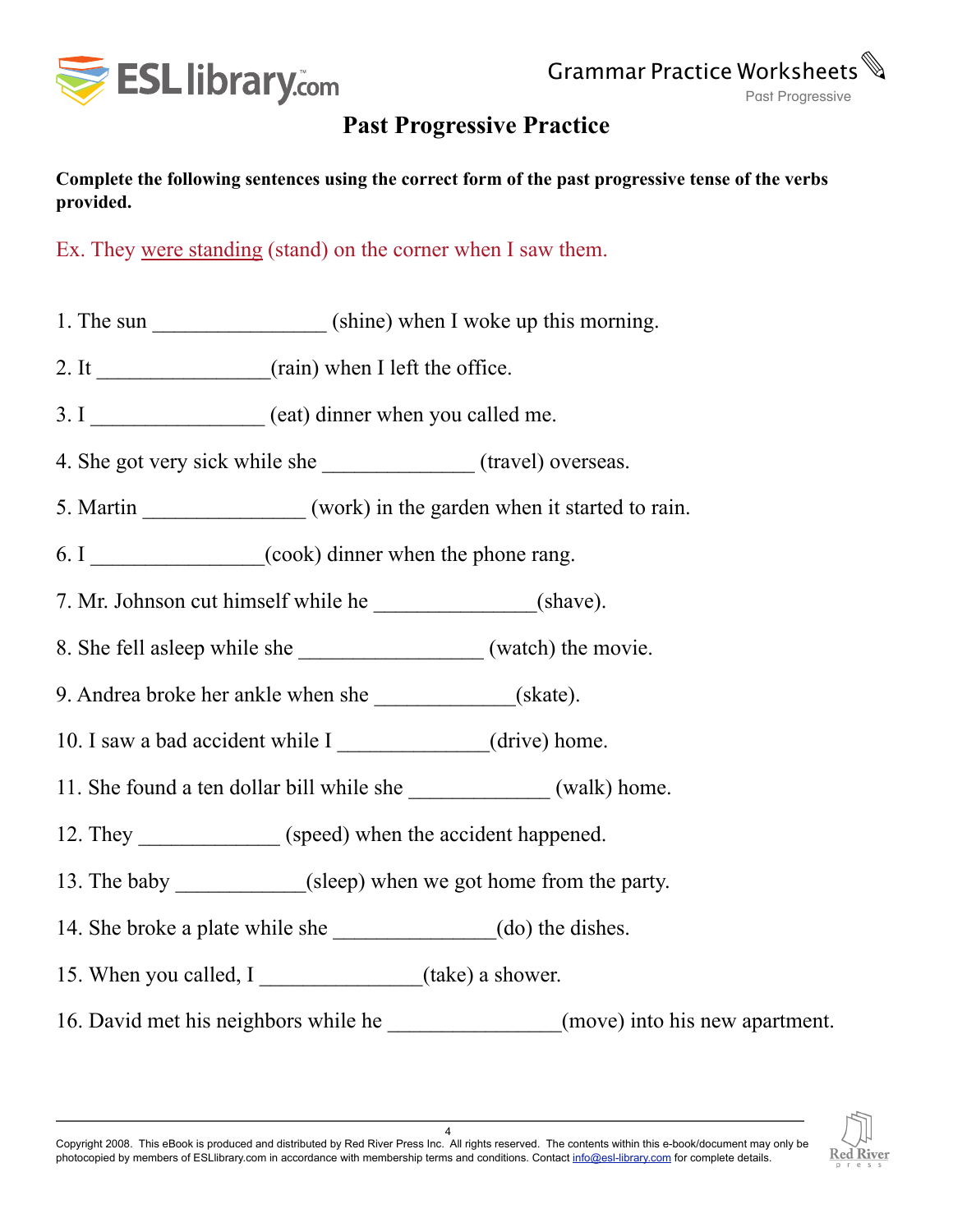

## **Past Progressive Practice**

**Complete the following sentences using the correct form of the past progressive tense of the verbs provided.**

Ex. They were standing (stand) on the corner when I saw them.

- 1. The sun (shine) when I woke up this morning.
- 2. It  $\frac{1}{\sqrt{1-\frac{1}{\sqrt{1-\frac{1}{\sqrt{1-\frac{1}{\sqrt{1-\frac{1}{\sqrt{1-\frac{1}{\sqrt{1-\frac{1}{\sqrt{1-\frac{1}{\sqrt{1-\frac{1}{\sqrt{1-\frac{1}{\sqrt{1-\frac{1}{\sqrt{1-\frac{1}{\sqrt{1-\frac{1}{\sqrt{1-\frac{1}{\sqrt{1-\frac{1}{\sqrt{1-\frac{1}{\sqrt{1-\frac{1}{\sqrt{1-\frac{1}{\sqrt{1-\frac{1}{\sqrt{1-\frac{1}{\sqrt{1-\frac{1}{\sqrt{1-\frac{1}{\sqrt{1-\frac{1}{\sqrt{1-\frac{1}{\sqrt$
- 3. I \_\_\_\_\_\_\_\_\_\_\_\_\_\_\_\_\_\_\_ (eat) dinner when you called me.
- 4. She got very sick while she \_\_\_\_\_\_\_\_\_\_\_\_\_\_ (travel) overseas.
- 5. Martin (work) in the garden when it started to rain.
- 6. I  $(cook)$  dinner when the phone rang.
- 7. Mr. Johnson cut himself while he (shave).
- 8. She fell asleep while she watch) the movie.
- 9. Andrea broke her ankle when she (skate).
- 10. I saw a bad accident while I (drive) home.
- 11. She found a ten dollar bill while she (walk) home.
- 12. They (speed) when the accident happened.
- 13. The baby \_\_\_\_\_\_\_\_\_\_\_\_(sleep) when we got home from the party.
- 14. She broke a plate while she (do) the dishes.
- 15. When you called, I \_\_\_\_\_\_\_\_\_\_\_\_\_(take) a shower.
- 16. David met his neighbors while he (move) into his new apartment.



4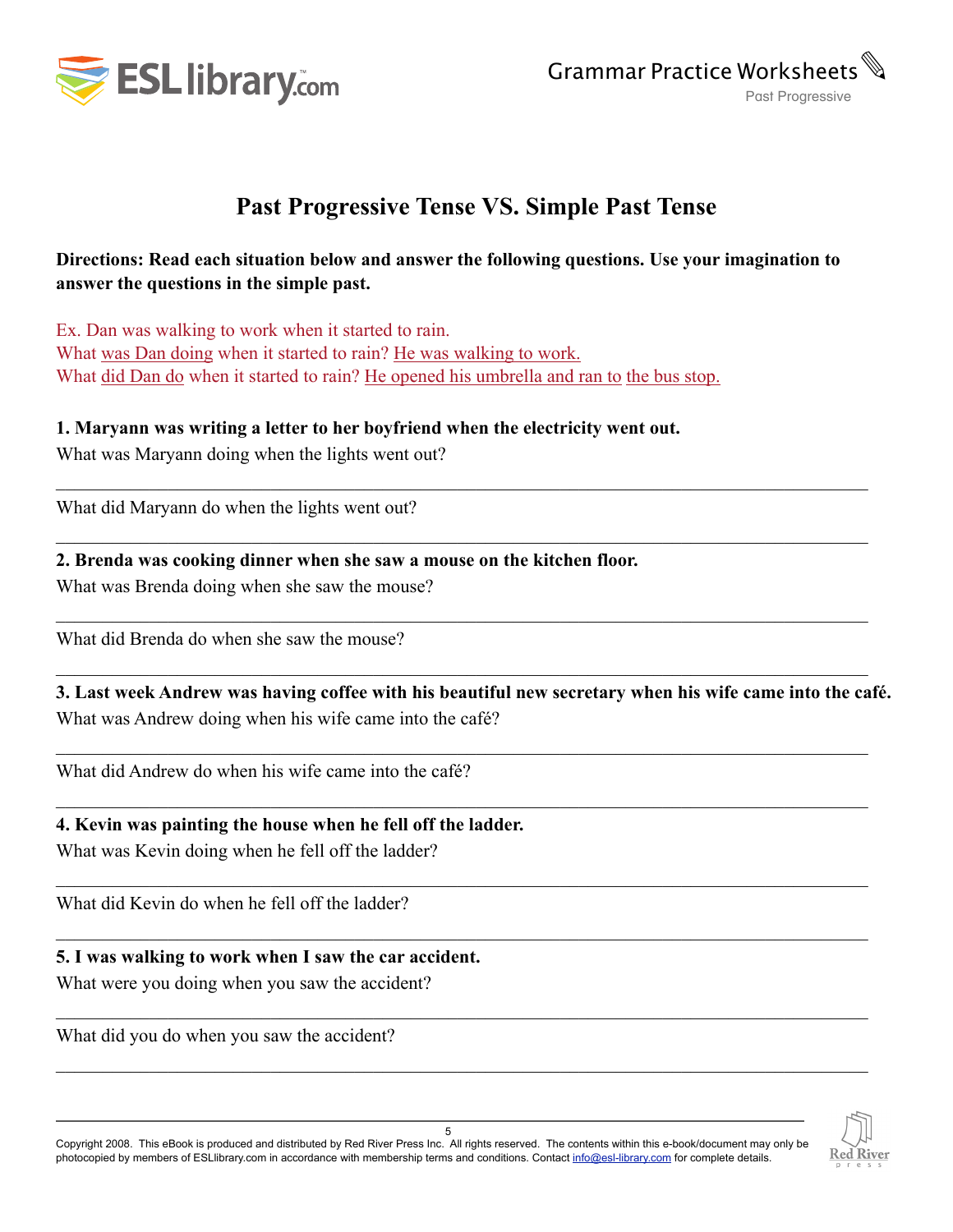

## **Past Progressive Tense VS. Simple Past Tense**

### **Directions: Read each situation below and answer the following questions. Use your imagination to answer the questions in the simple past.**

 $\mathcal{L}_\mathcal{L} = \{ \mathcal{L}_\mathcal{L} = \{ \mathcal{L}_\mathcal{L} = \{ \mathcal{L}_\mathcal{L} = \{ \mathcal{L}_\mathcal{L} = \{ \mathcal{L}_\mathcal{L} = \{ \mathcal{L}_\mathcal{L} = \{ \mathcal{L}_\mathcal{L} = \{ \mathcal{L}_\mathcal{L} = \{ \mathcal{L}_\mathcal{L} = \{ \mathcal{L}_\mathcal{L} = \{ \mathcal{L}_\mathcal{L} = \{ \mathcal{L}_\mathcal{L} = \{ \mathcal{L}_\mathcal{L} = \{ \mathcal{L}_\mathcal{$ 

 $\mathcal{L}_\mathcal{L} = \{ \mathcal{L}_\mathcal{L} = \{ \mathcal{L}_\mathcal{L} = \{ \mathcal{L}_\mathcal{L} = \{ \mathcal{L}_\mathcal{L} = \{ \mathcal{L}_\mathcal{L} = \{ \mathcal{L}_\mathcal{L} = \{ \mathcal{L}_\mathcal{L} = \{ \mathcal{L}_\mathcal{L} = \{ \mathcal{L}_\mathcal{L} = \{ \mathcal{L}_\mathcal{L} = \{ \mathcal{L}_\mathcal{L} = \{ \mathcal{L}_\mathcal{L} = \{ \mathcal{L}_\mathcal{L} = \{ \mathcal{L}_\mathcal{$ 

 $\mathcal{L}_\mathcal{L} = \mathcal{L}_\mathcal{L} = \mathcal{L}_\mathcal{L} = \mathcal{L}_\mathcal{L} = \mathcal{L}_\mathcal{L} = \mathcal{L}_\mathcal{L} = \mathcal{L}_\mathcal{L} = \mathcal{L}_\mathcal{L} = \mathcal{L}_\mathcal{L} = \mathcal{L}_\mathcal{L} = \mathcal{L}_\mathcal{L} = \mathcal{L}_\mathcal{L} = \mathcal{L}_\mathcal{L} = \mathcal{L}_\mathcal{L} = \mathcal{L}_\mathcal{L} = \mathcal{L}_\mathcal{L} = \mathcal{L}_\mathcal{L}$ 

 $\mathcal{L}_\mathcal{L} = \{ \mathcal{L}_\mathcal{L} = \{ \mathcal{L}_\mathcal{L} = \{ \mathcal{L}_\mathcal{L} = \{ \mathcal{L}_\mathcal{L} = \{ \mathcal{L}_\mathcal{L} = \{ \mathcal{L}_\mathcal{L} = \{ \mathcal{L}_\mathcal{L} = \{ \mathcal{L}_\mathcal{L} = \{ \mathcal{L}_\mathcal{L} = \{ \mathcal{L}_\mathcal{L} = \{ \mathcal{L}_\mathcal{L} = \{ \mathcal{L}_\mathcal{L} = \{ \mathcal{L}_\mathcal{L} = \{ \mathcal{L}_\mathcal{$ 

 $\mathcal{L}_\mathcal{L} = \mathcal{L}_\mathcal{L} = \mathcal{L}_\mathcal{L} = \mathcal{L}_\mathcal{L} = \mathcal{L}_\mathcal{L} = \mathcal{L}_\mathcal{L} = \mathcal{L}_\mathcal{L} = \mathcal{L}_\mathcal{L} = \mathcal{L}_\mathcal{L} = \mathcal{L}_\mathcal{L} = \mathcal{L}_\mathcal{L} = \mathcal{L}_\mathcal{L} = \mathcal{L}_\mathcal{L} = \mathcal{L}_\mathcal{L} = \mathcal{L}_\mathcal{L} = \mathcal{L}_\mathcal{L} = \mathcal{L}_\mathcal{L}$ 

 $\mathcal{L}_\mathcal{L} = \{ \mathcal{L}_\mathcal{L} = \{ \mathcal{L}_\mathcal{L} = \{ \mathcal{L}_\mathcal{L} = \{ \mathcal{L}_\mathcal{L} = \{ \mathcal{L}_\mathcal{L} = \{ \mathcal{L}_\mathcal{L} = \{ \mathcal{L}_\mathcal{L} = \{ \mathcal{L}_\mathcal{L} = \{ \mathcal{L}_\mathcal{L} = \{ \mathcal{L}_\mathcal{L} = \{ \mathcal{L}_\mathcal{L} = \{ \mathcal{L}_\mathcal{L} = \{ \mathcal{L}_\mathcal{L} = \{ \mathcal{L}_\mathcal{$ 

 $\mathcal{L}_\mathcal{L} = \{ \mathcal{L}_\mathcal{L} = \{ \mathcal{L}_\mathcal{L} = \{ \mathcal{L}_\mathcal{L} = \{ \mathcal{L}_\mathcal{L} = \{ \mathcal{L}_\mathcal{L} = \{ \mathcal{L}_\mathcal{L} = \{ \mathcal{L}_\mathcal{L} = \{ \mathcal{L}_\mathcal{L} = \{ \mathcal{L}_\mathcal{L} = \{ \mathcal{L}_\mathcal{L} = \{ \mathcal{L}_\mathcal{L} = \{ \mathcal{L}_\mathcal{L} = \{ \mathcal{L}_\mathcal{L} = \{ \mathcal{L}_\mathcal{$ 

 $\mathcal{L}_\mathcal{L} = \mathcal{L}_\mathcal{L} = \mathcal{L}_\mathcal{L} = \mathcal{L}_\mathcal{L} = \mathcal{L}_\mathcal{L} = \mathcal{L}_\mathcal{L} = \mathcal{L}_\mathcal{L} = \mathcal{L}_\mathcal{L} = \mathcal{L}_\mathcal{L} = \mathcal{L}_\mathcal{L} = \mathcal{L}_\mathcal{L} = \mathcal{L}_\mathcal{L} = \mathcal{L}_\mathcal{L} = \mathcal{L}_\mathcal{L} = \mathcal{L}_\mathcal{L} = \mathcal{L}_\mathcal{L} = \mathcal{L}_\mathcal{L}$ 

 $\mathcal{L}_\mathcal{L} = \{ \mathcal{L}_\mathcal{L} = \{ \mathcal{L}_\mathcal{L} = \{ \mathcal{L}_\mathcal{L} = \{ \mathcal{L}_\mathcal{L} = \{ \mathcal{L}_\mathcal{L} = \{ \mathcal{L}_\mathcal{L} = \{ \mathcal{L}_\mathcal{L} = \{ \mathcal{L}_\mathcal{L} = \{ \mathcal{L}_\mathcal{L} = \{ \mathcal{L}_\mathcal{L} = \{ \mathcal{L}_\mathcal{L} = \{ \mathcal{L}_\mathcal{L} = \{ \mathcal{L}_\mathcal{L} = \{ \mathcal{L}_\mathcal{$ 

 $\mathcal{L}_\mathcal{L} = \{ \mathcal{L}_\mathcal{L} = \{ \mathcal{L}_\mathcal{L} = \{ \mathcal{L}_\mathcal{L} = \{ \mathcal{L}_\mathcal{L} = \{ \mathcal{L}_\mathcal{L} = \{ \mathcal{L}_\mathcal{L} = \{ \mathcal{L}_\mathcal{L} = \{ \mathcal{L}_\mathcal{L} = \{ \mathcal{L}_\mathcal{L} = \{ \mathcal{L}_\mathcal{L} = \{ \mathcal{L}_\mathcal{L} = \{ \mathcal{L}_\mathcal{L} = \{ \mathcal{L}_\mathcal{L} = \{ \mathcal{L}_\mathcal{$ 

Ex. Dan was walking to work when it started to rain. What was Dan doing when it started to rain? He was walking to work. What did Dan do when it started to rain? He opened his umbrella and ran to the bus stop.

#### **1. Maryann was writing a letter to her boyfriend when the electricity went out.**

What was Maryann doing when the lights went out?

What did Maryann do when the lights went out?

#### **2. Brenda was cooking dinner when she saw a mouse on the kitchen floor.**

What was Brenda doing when she saw the mouse?

What did Brenda do when she saw the mouse?

**3. Last week Andrew was having coffee with his beautiful new secretary when his wife came into the café.** What was Andrew doing when his wife came into the café?

What did Andrew do when his wife came into the café?

#### **4. Kevin was painting the house when he fell off the ladder.**

What was Kevin doing when he fell off the ladder?

What did Kevin do when he fell off the ladder?

#### **5. I was walking to work when I saw the car accident.**

What were you doing when you saw the accident?

What did you do when you saw the accident?



Copyright 2008. This eBook is produced and distributed by Red River Press Inc. All rights reserved. The contents within this e-book/document may only be photocopied by members of ESLlibrary.com in accordance with membership terms and conditions. Contact [info@esl-library.com](mailto:info@esl-images.com) for complete details.